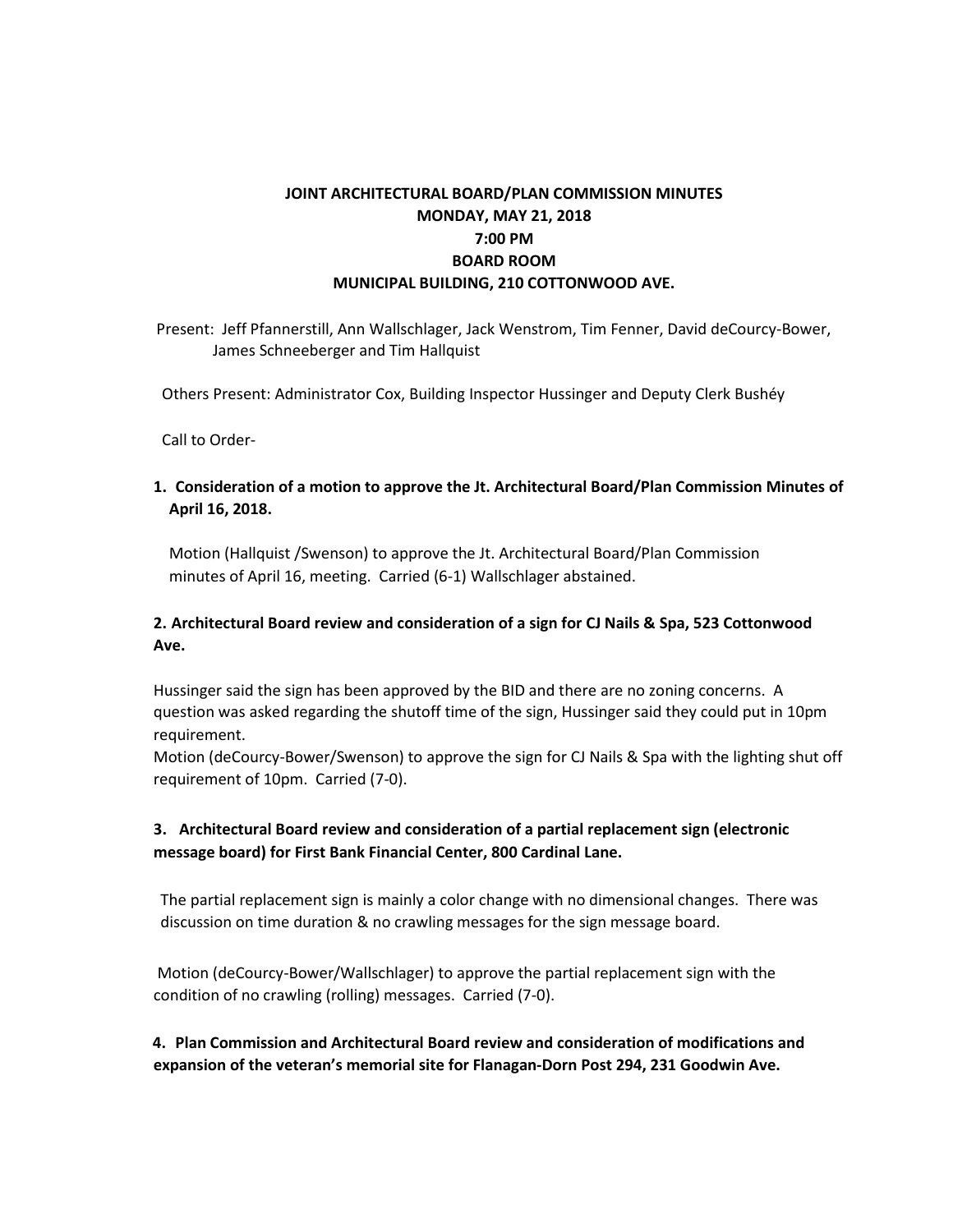# **JOINT ARCHITECTURAL BOARD/PLAN COMMISSION MINUTES MONDAY, MAY 21, 2018 7:00 PM BOARD ROOM MUNICIPAL BUILDING, 210 COTTONWOOD AVE.**

Present: Jeff Pfannerstill, Ann Wallschlager, Jack Wenstrom, Tim Fenner, David deCourcy-Bower, James Schneeberger and Tim Hallquist

Others Present: Administrator Cox, Building Inspector Hussinger and Deputy Clerk Bushéy

Call to Order-

#### **1. Consideration of a motion to approve the Jt. Architectural Board/Plan Commission Minutes of April 16, 2018.**

Motion (Hallquist /Swenson) to approve the Jt. Architectural Board/Plan Commission minutes of April 16, meeting. Carried (6-1) Wallschlager abstained.

#### **2. Architectural Board review and consideration of a sign for CJ Nails & Spa, 523 Cottonwood Ave.**

Hussinger said the sign has been approved by the BID and there are no zoning concerns. A question was asked regarding the shutoff time of the sign, Hussinger said they could put in 10pm requirement.

Motion (deCourcy-Bower/Swenson) to approve the sign for CJ Nails & Spa with the lighting shut off requirement of 10pm. Carried (7-0).

## **3. Architectural Board review and consideration of a partial replacement sign (electronic message board) for First Bank Financial Center, 800 Cardinal Lane.**

The partial replacement sign is mainly a color change with no dimensional changes. There was discussion on time duration & no crawling messages for the sign message board.

Motion (deCourcy-Bower/Wallschlager) to approve the partial replacement sign with the condition of no crawling (rolling) messages. Carried (7-0).

**4. Plan Commission and Architectural Board review and consideration of modifications and expansion of the veteran's memorial site for Flanagan-Dorn Post 294, 231 Goodwin Ave.**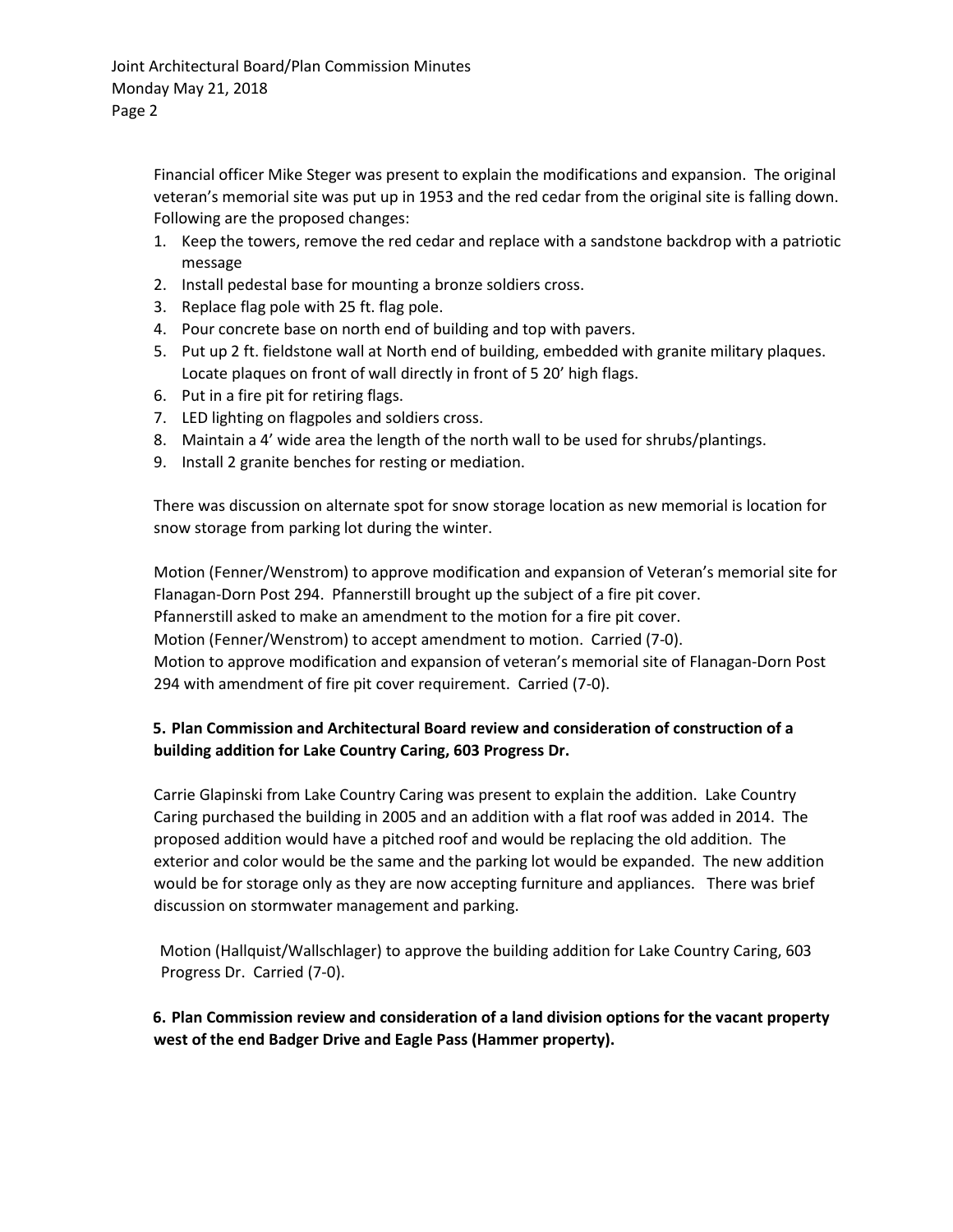Financial officer Mike Steger was present to explain the modifications and expansion. The original veteran's memorial site was put up in 1953 and the red cedar from the original site is falling down. Following are the proposed changes:

- 1. Keep the towers, remove the red cedar and replace with a sandstone backdrop with a patriotic message
- 2. Install pedestal base for mounting a bronze soldiers cross.
- 3. Replace flag pole with 25 ft. flag pole.
- 4. Pour concrete base on north end of building and top with pavers.
- 5. Put up 2 ft. fieldstone wall at North end of building, embedded with granite military plaques. Locate plaques on front of wall directly in front of 5 20' high flags.
- 6. Put in a fire pit for retiring flags.
- 7. LED lighting on flagpoles and soldiers cross.
- 8. Maintain a 4' wide area the length of the north wall to be used for shrubs/plantings.
- 9. Install 2 granite benches for resting or mediation.

There was discussion on alternate spot for snow storage location as new memorial is location for snow storage from parking lot during the winter.

Motion (Fenner/Wenstrom) to approve modification and expansion of Veteran's memorial site for Flanagan-Dorn Post 294. Pfannerstill brought up the subject of a fire pit cover. Pfannerstill asked to make an amendment to the motion for a fire pit cover. Motion (Fenner/Wenstrom) to accept amendment to motion. Carried (7-0). Motion to approve modification and expansion of veteran's memorial site of Flanagan-Dorn Post 294 with amendment of fire pit cover requirement. Carried (7-0).

# **5. Plan Commission and Architectural Board review and consideration of construction of a building addition for Lake Country Caring, 603 Progress Dr.**

Carrie Glapinski from Lake Country Caring was present to explain the addition. Lake Country Caring purchased the building in 2005 and an addition with a flat roof was added in 2014. The proposed addition would have a pitched roof and would be replacing the old addition. The exterior and color would be the same and the parking lot would be expanded. The new addition would be for storage only as they are now accepting furniture and appliances. There was brief discussion on stormwater management and parking.

Motion (Hallquist/Wallschlager) to approve the building addition for Lake Country Caring, 603 Progress Dr. Carried (7-0).

## **6. Plan Commission review and consideration of a land division options for the vacant property west of the end Badger Drive and Eagle Pass (Hammer property).**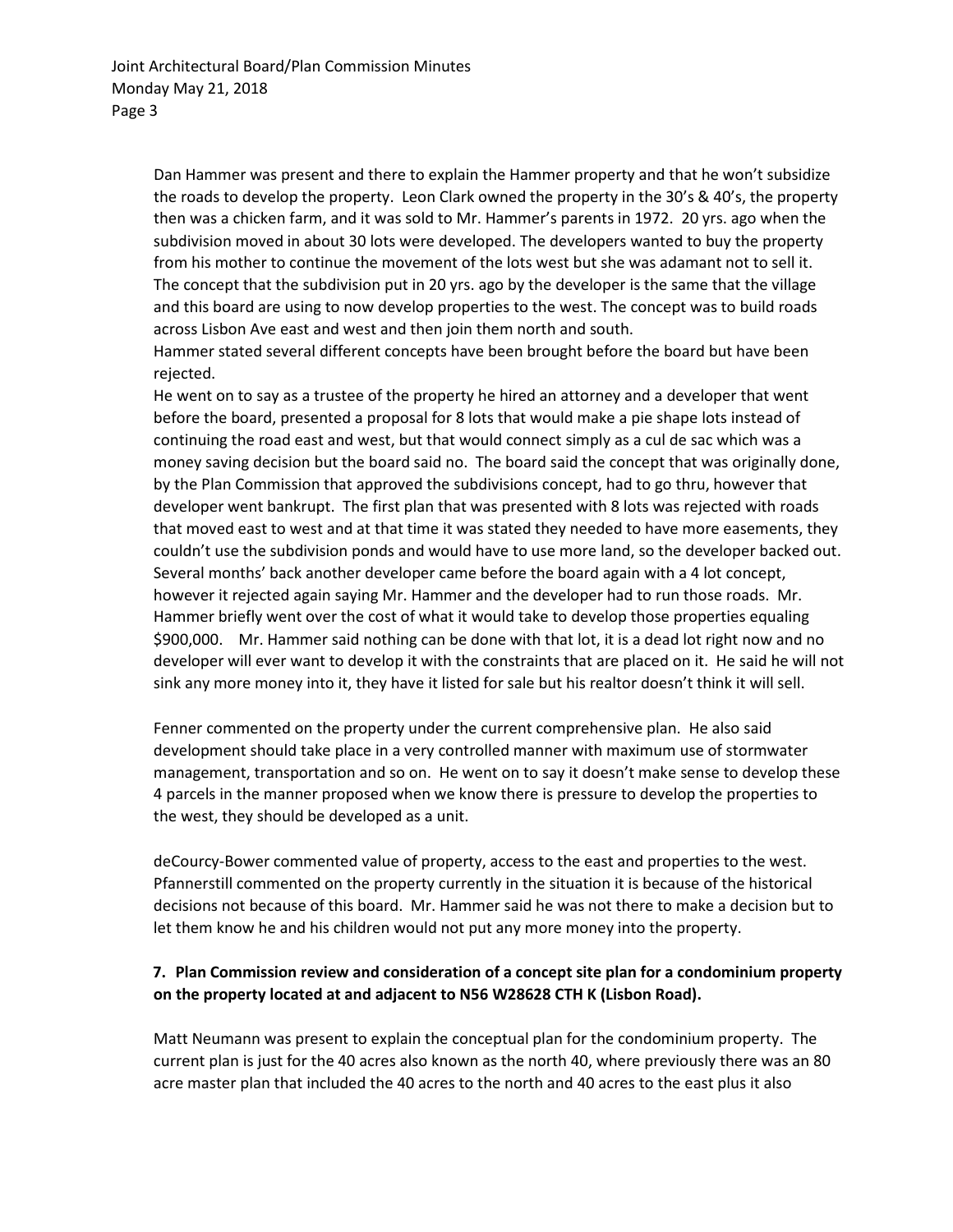Dan Hammer was present and there to explain the Hammer property and that he won't subsidize the roads to develop the property. Leon Clark owned the property in the 30's & 40's, the property then was a chicken farm, and it was sold to Mr. Hammer's parents in 1972. 20 yrs. ago when the subdivision moved in about 30 lots were developed. The developers wanted to buy the property from his mother to continue the movement of the lots west but she was adamant not to sell it. The concept that the subdivision put in 20 yrs. ago by the developer is the same that the village and this board are using to now develop properties to the west. The concept was to build roads across Lisbon Ave east and west and then join them north and south.

Hammer stated several different concepts have been brought before the board but have been rejected.

He went on to say as a trustee of the property he hired an attorney and a developer that went before the board, presented a proposal for 8 lots that would make a pie shape lots instead of continuing the road east and west, but that would connect simply as a cul de sac which was a money saving decision but the board said no. The board said the concept that was originally done, by the Plan Commission that approved the subdivisions concept, had to go thru, however that developer went bankrupt. The first plan that was presented with 8 lots was rejected with roads that moved east to west and at that time it was stated they needed to have more easements, they couldn't use the subdivision ponds and would have to use more land, so the developer backed out. Several months' back another developer came before the board again with a 4 lot concept, however it rejected again saying Mr. Hammer and the developer had to run those roads. Mr. Hammer briefly went over the cost of what it would take to develop those properties equaling \$900,000. Mr. Hammer said nothing can be done with that lot, it is a dead lot right now and no developer will ever want to develop it with the constraints that are placed on it. He said he will not sink any more money into it, they have it listed for sale but his realtor doesn't think it will sell.

Fenner commented on the property under the current comprehensive plan. He also said development should take place in a very controlled manner with maximum use of stormwater management, transportation and so on. He went on to say it doesn't make sense to develop these 4 parcels in the manner proposed when we know there is pressure to develop the properties to the west, they should be developed as a unit.

deCourcy-Bower commented value of property, access to the east and properties to the west. Pfannerstill commented on the property currently in the situation it is because of the historical decisions not because of this board. Mr. Hammer said he was not there to make a decision but to let them know he and his children would not put any more money into the property.

#### **7. Plan Commission review and consideration of a concept site plan for a condominium property on the property located at and adjacent to N56 W28628 CTH K (Lisbon Road).**

Matt Neumann was present to explain the conceptual plan for the condominium property. The current plan is just for the 40 acres also known as the north 40, where previously there was an 80 acre master plan that included the 40 acres to the north and 40 acres to the east plus it also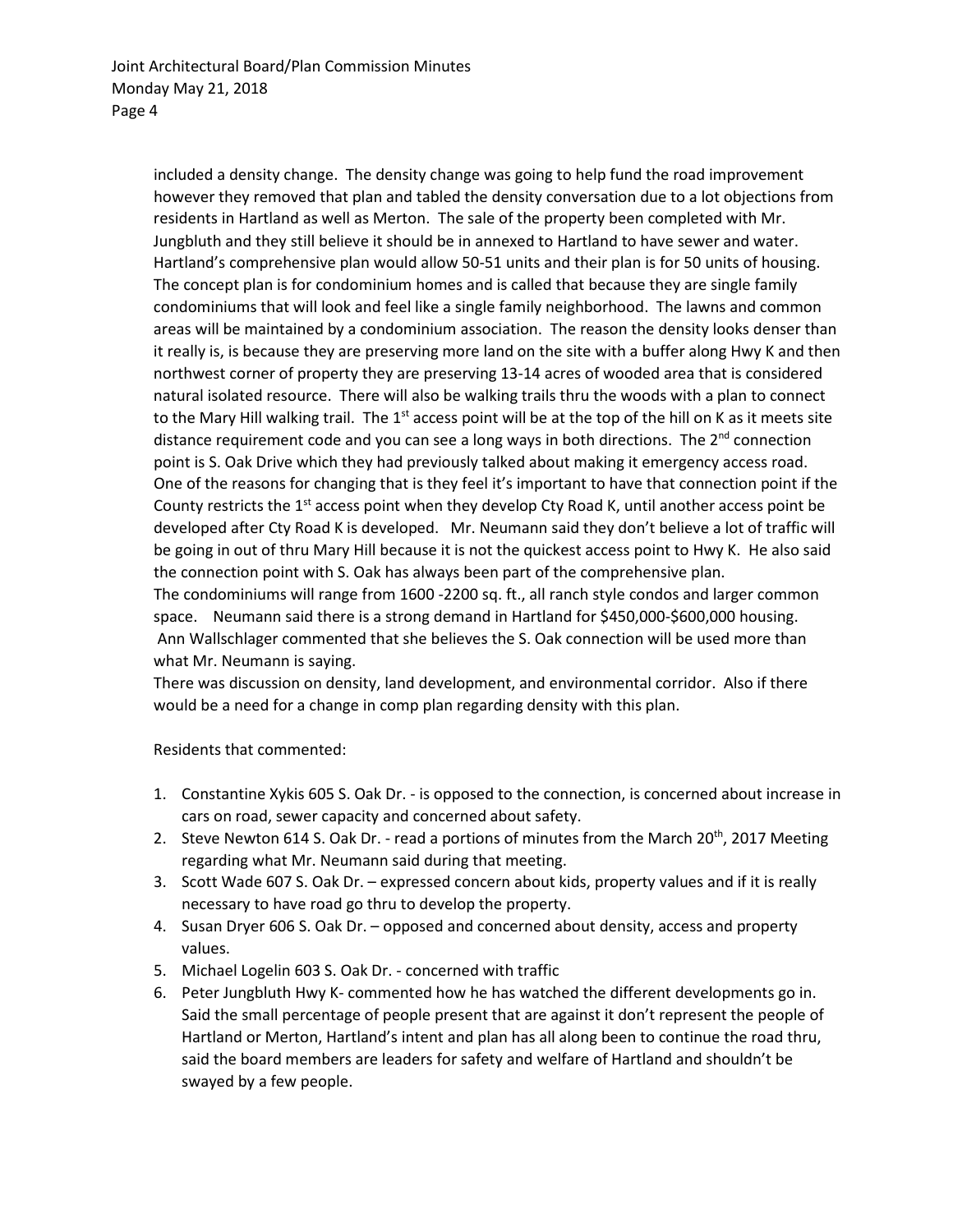included a density change. The density change was going to help fund the road improvement however they removed that plan and tabled the density conversation due to a lot objections from residents in Hartland as well as Merton. The sale of the property been completed with Mr. Jungbluth and they still believe it should be in annexed to Hartland to have sewer and water. Hartland's comprehensive plan would allow 50-51 units and their plan is for 50 units of housing. The concept plan is for condominium homes and is called that because they are single family condominiums that will look and feel like a single family neighborhood. The lawns and common areas will be maintained by a condominium association. The reason the density looks denser than it really is, is because they are preserving more land on the site with a buffer along Hwy K and then northwest corner of property they are preserving 13-14 acres of wooded area that is considered natural isolated resource. There will also be walking trails thru the woods with a plan to connect to the Mary Hill walking trail. The  $1<sup>st</sup>$  access point will be at the top of the hill on K as it meets site distance requirement code and you can see a long ways in both directions. The 2<sup>nd</sup> connection point is S. Oak Drive which they had previously talked about making it emergency access road. One of the reasons for changing that is they feel it's important to have that connection point if the County restricts the  $1<sup>st</sup>$  access point when they develop Cty Road K, until another access point be developed after Cty Road K is developed. Mr. Neumann said they don't believe a lot of traffic will be going in out of thru Mary Hill because it is not the quickest access point to Hwy K. He also said the connection point with S. Oak has always been part of the comprehensive plan. The condominiums will range from 1600 -2200 sq. ft., all ranch style condos and larger common space. Neumann said there is a strong demand in Hartland for \$450,000-\$600,000 housing. Ann Wallschlager commented that she believes the S. Oak connection will be used more than what Mr. Neumann is saying.

There was discussion on density, land development, and environmental corridor. Also if there would be a need for a change in comp plan regarding density with this plan.

Residents that commented:

- 1. Constantine Xykis 605 S. Oak Dr. is opposed to the connection, is concerned about increase in cars on road, sewer capacity and concerned about safety.
- 2. Steve Newton 614 S. Oak Dr. read a portions of minutes from the March 20<sup>th</sup>, 2017 Meeting regarding what Mr. Neumann said during that meeting.
- 3. Scott Wade 607 S. Oak Dr. expressed concern about kids, property values and if it is really necessary to have road go thru to develop the property.
- 4. Susan Dryer 606 S. Oak Dr. opposed and concerned about density, access and property values.
- 5. Michael Logelin 603 S. Oak Dr. concerned with traffic
- 6. Peter Jungbluth Hwy K- commented how he has watched the different developments go in. Said the small percentage of people present that are against it don't represent the people of Hartland or Merton, Hartland's intent and plan has all along been to continue the road thru, said the board members are leaders for safety and welfare of Hartland and shouldn't be swayed by a few people.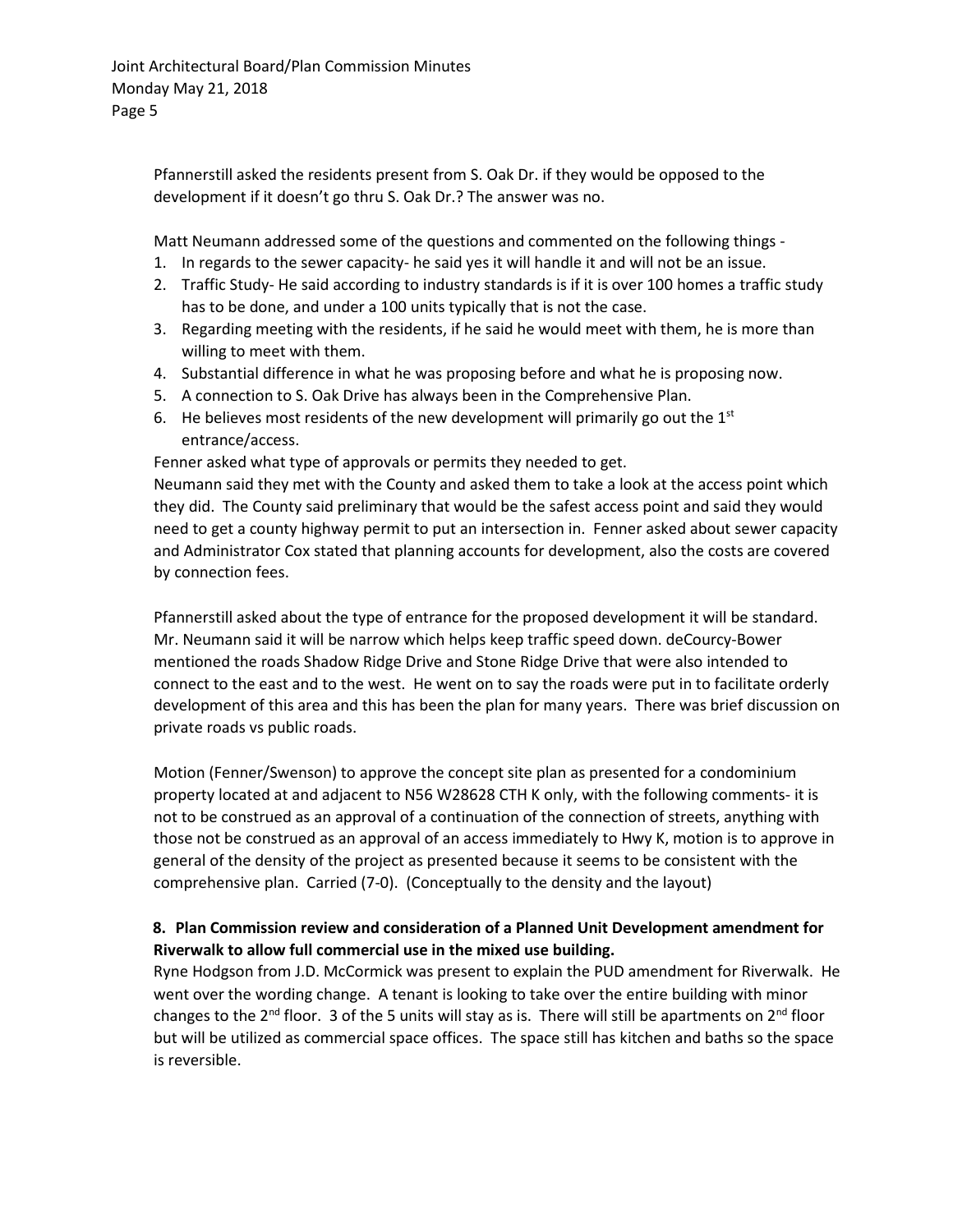Pfannerstill asked the residents present from S. Oak Dr. if they would be opposed to the development if it doesn't go thru S. Oak Dr.? The answer was no.

Matt Neumann addressed some of the questions and commented on the following things -

- 1. In regards to the sewer capacity- he said yes it will handle it and will not be an issue.
- 2. Traffic Study- He said according to industry standards is if it is over 100 homes a traffic study has to be done, and under a 100 units typically that is not the case.
- 3. Regarding meeting with the residents, if he said he would meet with them, he is more than willing to meet with them.
- 4. Substantial difference in what he was proposing before and what he is proposing now.
- 5. A connection to S. Oak Drive has always been in the Comprehensive Plan.
- 6. He believes most residents of the new development will primarily go out the  $1<sup>st</sup>$ entrance/access.

Fenner asked what type of approvals or permits they needed to get.

Neumann said they met with the County and asked them to take a look at the access point which they did. The County said preliminary that would be the safest access point and said they would need to get a county highway permit to put an intersection in. Fenner asked about sewer capacity and Administrator Cox stated that planning accounts for development, also the costs are covered by connection fees.

Pfannerstill asked about the type of entrance for the proposed development it will be standard. Mr. Neumann said it will be narrow which helps keep traffic speed down. deCourcy-Bower mentioned the roads Shadow Ridge Drive and Stone Ridge Drive that were also intended to connect to the east and to the west. He went on to say the roads were put in to facilitate orderly development of this area and this has been the plan for many years. There was brief discussion on private roads vs public roads.

Motion (Fenner/Swenson) to approve the concept site plan as presented for a condominium property located at and adjacent to N56 W28628 CTH K only, with the following comments- it is not to be construed as an approval of a continuation of the connection of streets, anything with those not be construed as an approval of an access immediately to Hwy K, motion is to approve in general of the density of the project as presented because it seems to be consistent with the comprehensive plan. Carried (7-0). (Conceptually to the density and the layout)

## **8. Plan Commission review and consideration of a Planned Unit Development amendment for Riverwalk to allow full commercial use in the mixed use building.**

Ryne Hodgson from J.D. McCormick was present to explain the PUD amendment for Riverwalk. He went over the wording change. A tenant is looking to take over the entire building with minor changes to the  $2^{nd}$  floor. 3 of the 5 units will stay as is. There will still be apartments on  $2^{nd}$  floor but will be utilized as commercial space offices. The space still has kitchen and baths so the space is reversible.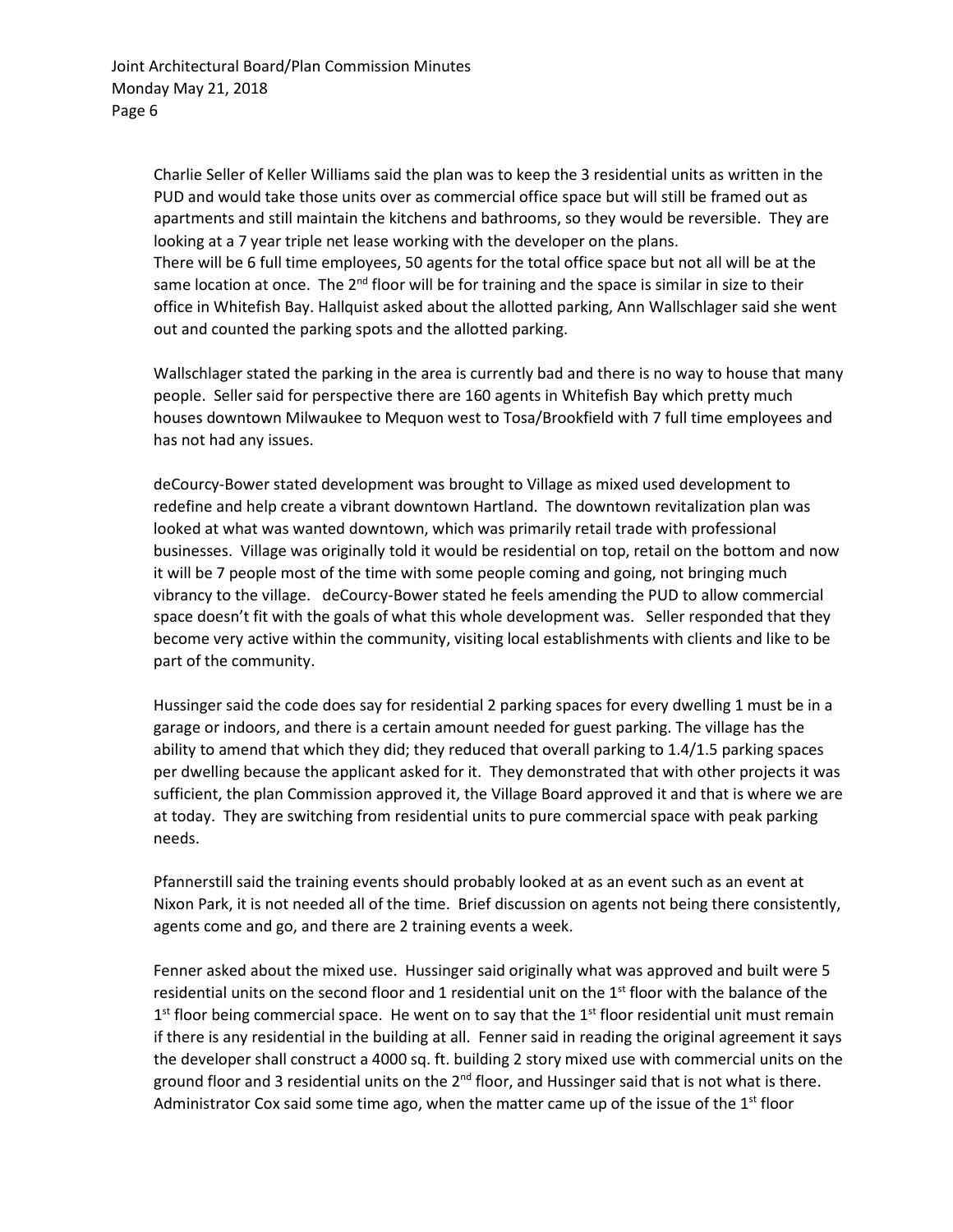Charlie Seller of Keller Williams said the plan was to keep the 3 residential units as written in the PUD and would take those units over as commercial office space but will still be framed out as apartments and still maintain the kitchens and bathrooms, so they would be reversible. They are looking at a 7 year triple net lease working with the developer on the plans. There will be 6 full time employees, 50 agents for the total office space but not all will be at the same location at once. The  $2^{nd}$  floor will be for training and the space is similar in size to their office in Whitefish Bay. Hallquist asked about the allotted parking, Ann Wallschlager said she went out and counted the parking spots and the allotted parking.

Wallschlager stated the parking in the area is currently bad and there is no way to house that many people. Seller said for perspective there are 160 agents in Whitefish Bay which pretty much houses downtown Milwaukee to Mequon west to Tosa/Brookfield with 7 full time employees and has not had any issues.

deCourcy-Bower stated development was brought to Village as mixed used development to redefine and help create a vibrant downtown Hartland. The downtown revitalization plan was looked at what was wanted downtown, which was primarily retail trade with professional businesses. Village was originally told it would be residential on top, retail on the bottom and now it will be 7 people most of the time with some people coming and going, not bringing much vibrancy to the village. deCourcy-Bower stated he feels amending the PUD to allow commercial space doesn't fit with the goals of what this whole development was. Seller responded that they become very active within the community, visiting local establishments with clients and like to be part of the community.

Hussinger said the code does say for residential 2 parking spaces for every dwelling 1 must be in a garage or indoors, and there is a certain amount needed for guest parking. The village has the ability to amend that which they did; they reduced that overall parking to 1.4/1.5 parking spaces per dwelling because the applicant asked for it. They demonstrated that with other projects it was sufficient, the plan Commission approved it, the Village Board approved it and that is where we are at today. They are switching from residential units to pure commercial space with peak parking needs.

Pfannerstill said the training events should probably looked at as an event such as an event at Nixon Park, it is not needed all of the time. Brief discussion on agents not being there consistently, agents come and go, and there are 2 training events a week.

Fenner asked about the mixed use. Hussinger said originally what was approved and built were 5 residential units on the second floor and 1 residential unit on the 1<sup>st</sup> floor with the balance of the  $1<sup>st</sup>$  floor being commercial space. He went on to say that the  $1<sup>st</sup>$  floor residential unit must remain if there is any residential in the building at all. Fenner said in reading the original agreement it says the developer shall construct a 4000 sq. ft. building 2 story mixed use with commercial units on the ground floor and 3 residential units on the  $2^{nd}$  floor, and Hussinger said that is not what is there. Administrator Cox said some time ago, when the matter came up of the issue of the  $1<sup>st</sup>$  floor